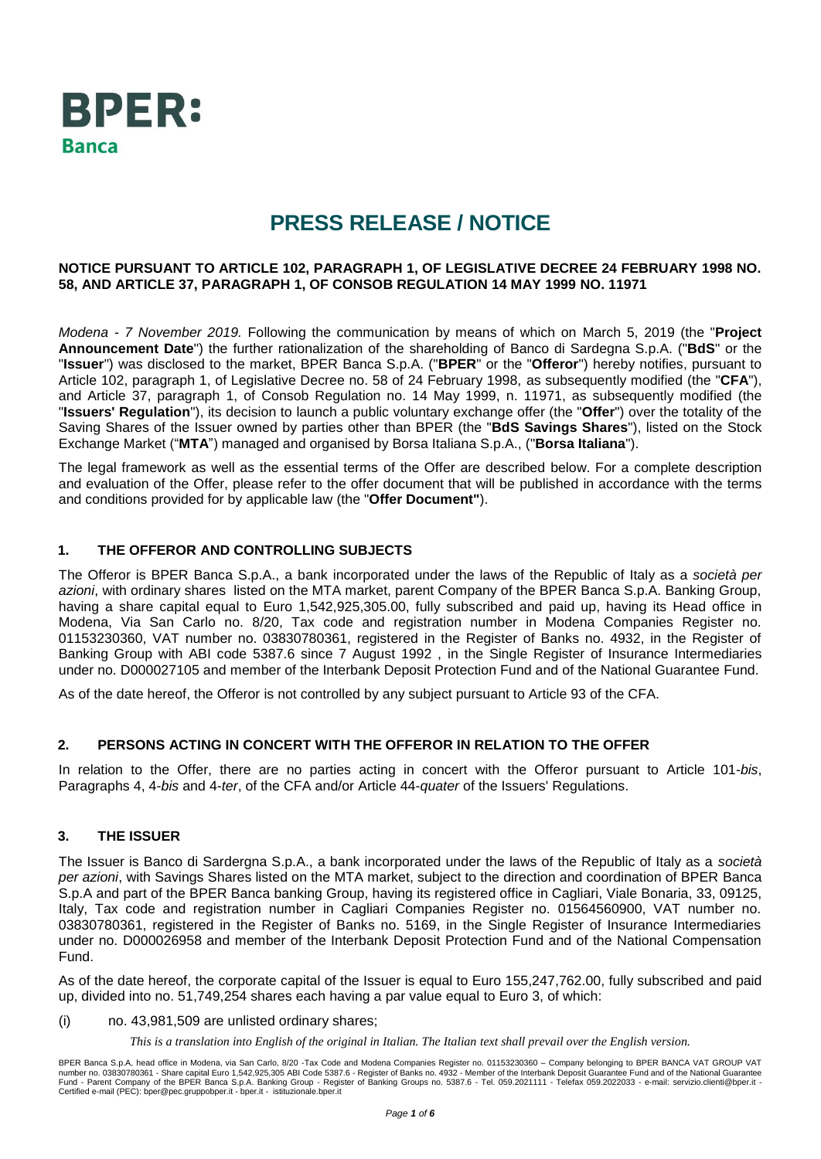

# **PRESS RELEASE / NOTICE**

#### **NOTICE PURSUANT TO ARTICLE 102, PARAGRAPH 1, OF LEGISLATIVE DECREE 24 FEBRUARY 1998 NO. 58, AND ARTICLE 37, PARAGRAPH 1, OF CONSOB REGULATION 14 MAY 1999 NO. 11971**

*Modena - 7 November 2019.* Following the communication by means of which on March 5, 2019 (the "**Project Announcement Date**") the further rationalization of the shareholding of Banco di Sardegna S.p.A. ("**BdS**" or the "**Issuer**") was disclosed to the market, BPER Banca S.p.A. ("**BPER**" or the "**Offeror**") hereby notifies, pursuant to Article 102, paragraph 1, of Legislative Decree no. 58 of 24 February 1998, as subsequently modified (the "**CFA**"), and Article 37, paragraph 1, of Consob Regulation no. 14 May 1999, n. 11971, as subsequently modified (the "**Issuers' Regulation**"), its decision to launch a public voluntary exchange offer (the "**Offer**") over the totality of the Saving Shares of the Issuer owned by parties other than BPER (the "**BdS Savings Shares**"), listed on the Stock Exchange Market ("**MTA**") managed and organised by Borsa Italiana S.p.A., ("**Borsa Italiana**").

The legal framework as well as the essential terms of the Offer are described below. For a complete description and evaluation of the Offer, please refer to the offer document that will be published in accordance with the terms and conditions provided for by applicable law (the "**Offer Document"**).

# **1. THE OFFEROR AND CONTROLLING SUBJECTS**

The Offeror is BPER Banca S.p.A., a bank incorporated under the laws of the Republic of Italy as a *società per azioni*, with ordinary shares listed on the MTA market, parent Company of the BPER Banca S.p.A. Banking Group, having a share capital equal to Euro 1,542,925,305.00, fully subscribed and paid up, having its Head office in Modena, Via San Carlo no. 8/20, Tax code and registration number in Modena Companies Register no. 01153230360, VAT number no. 03830780361, registered in the Register of Banks no. 4932, in the Register of Banking Group with ABI code 5387.6 since 7 August 1992 , in the Single Register of Insurance Intermediaries under no. D000027105 and member of the Interbank Deposit Protection Fund and of the National Guarantee Fund.

As of the date hereof, the Offeror is not controlled by any subject pursuant to Article 93 of the CFA.

#### **2. PERSONS ACTING IN CONCERT WITH THE OFFEROR IN RELATION TO THE OFFER**

In relation to the Offer, there are no parties acting in concert with the Offeror pursuant to Article 101-*bis*, Paragraphs 4, 4-*bis* and 4-*ter*, of the CFA and/or Article 44-*quater* of the Issuers' Regulations.

#### **3. THE ISSUER**

The Issuer is Banco di Sardergna S.p.A., a bank incorporated under the laws of the Republic of Italy as a *società per azioni*, with Savings Shares listed on the MTA market, subject to the direction and coordination of BPER Banca S.p.A and part of the BPER Banca banking Group, having its registered office in Cagliari, Viale Bonaria, 33, 09125, Italy, Tax code and registration number in Cagliari Companies Register no. 01564560900, VAT number no. 03830780361, registered in the Register of Banks no. 5169, in the Single Register of Insurance Intermediaries under no. D000026958 and member of the Interbank Deposit Protection Fund and of the National Compensation Fund.

As of the date hereof, the corporate capital of the Issuer is equal to Euro 155,247,762.00, fully subscribed and paid up, divided into no. 51,749,254 shares each having a par value equal to Euro 3, of which:

#### (i) no. 43,981,509 are unlisted ordinary shares;

*This is a translation into English of the original in Italian. The Italian text shall prevail over the English version.*

BPER Banca S.p.A, head office in Modena, via San Carlo, 8/20 -Tax Code and Modena Companies Register no. 01153230360 – Company belonging to BPER BANCA VAT GROUP VAT<br>number no. 03830780361 - Share capital Euro 1,542,925,305 Certified e-mail (PEC): bper@pec.gruppobper.it - bper.it - istituzionale.bper.it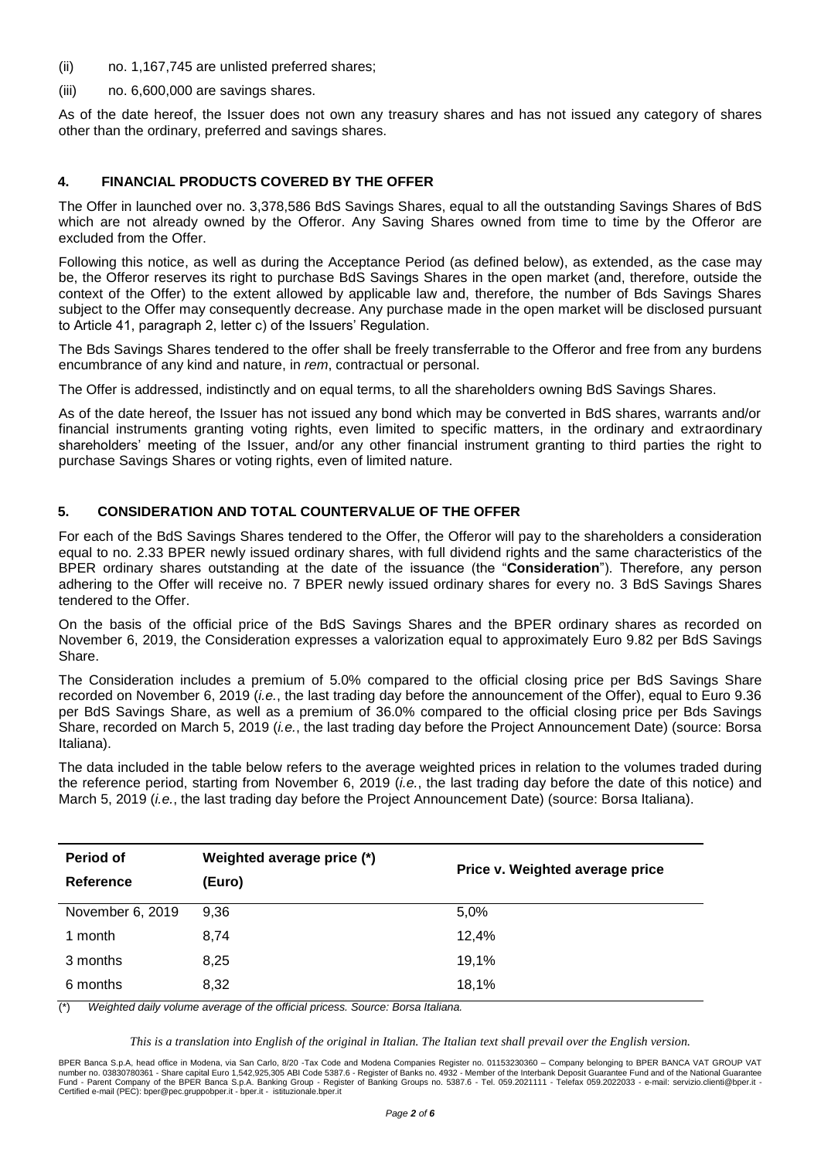- (ii) no. 1,167,745 are unlisted preferred shares;
- (iii) no. 6,600,000 are savings shares.

As of the date hereof, the Issuer does not own any treasury shares and has not issued any category of shares other than the ordinary, preferred and savings shares.

#### **4. FINANCIAL PRODUCTS COVERED BY THE OFFER**

The Offer in launched over no. 3,378,586 BdS Savings Shares, equal to all the outstanding Savings Shares of BdS which are not already owned by the Offeror. Any Saving Shares owned from time to time by the Offeror are excluded from the Offer.

Following this notice, as well as during the Acceptance Period (as defined below), as extended, as the case may be, the Offeror reserves its right to purchase BdS Savings Shares in the open market (and, therefore, outside the context of the Offer) to the extent allowed by applicable law and, therefore, the number of Bds Savings Shares subject to the Offer may consequently decrease. Any purchase made in the open market will be disclosed pursuant to Article 41, paragraph 2, letter c) of the Issuers' Regulation.

The Bds Savings Shares tendered to the offer shall be freely transferrable to the Offeror and free from any burdens encumbrance of any kind and nature, in *rem*, contractual or personal.

The Offer is addressed, indistinctly and on equal terms, to all the shareholders owning BdS Savings Shares.

As of the date hereof, the Issuer has not issued any bond which may be converted in BdS shares, warrants and/or financial instruments granting voting rights, even limited to specific matters, in the ordinary and extraordinary shareholders' meeting of the Issuer, and/or any other financial instrument granting to third parties the right to purchase Savings Shares or voting rights, even of limited nature.

# **5. CONSIDERATION AND TOTAL COUNTERVALUE OF THE OFFER**

For each of the BdS Savings Shares tendered to the Offer, the Offeror will pay to the shareholders a consideration equal to no. 2.33 BPER newly issued ordinary shares, with full dividend rights and the same characteristics of the BPER ordinary shares outstanding at the date of the issuance (the "**Consideration**"). Therefore, any person adhering to the Offer will receive no. 7 BPER newly issued ordinary shares for every no. 3 BdS Savings Shares tendered to the Offer.

On the basis of the official price of the BdS Savings Shares and the BPER ordinary shares as recorded on November 6, 2019, the Consideration expresses a valorization equal to approximately Euro 9.82 per BdS Savings Share.

The Consideration includes a premium of 5.0% compared to the official closing price per BdS Savings Share recorded on November 6, 2019 (*i.e.*, the last trading day before the announcement of the Offer), equal to Euro 9.36 per BdS Savings Share, as well as a premium of 36.0% compared to the official closing price per Bds Savings Share, recorded on March 5, 2019 (*i.e.*, the last trading day before the Project Announcement Date) (source: Borsa Italiana).

The data included in the table below refers to the average weighted prices in relation to the volumes traded during the reference period, starting from November 6, 2019 (*i.e.*, the last trading day before the date of this notice) and March 5, 2019 (*i.e.*, the last trading day before the Project Announcement Date) (source: Borsa Italiana).

| Period of        | Weighted average price (*) | Price v. Weighted average price |
|------------------|----------------------------|---------------------------------|
| Reference        | (Euro)                     |                                 |
| November 6, 2019 | 9,36                       | 5,0%                            |
| 1 month          | 8,74                       | 12,4%                           |
| 3 months         | 8,25                       | 19,1%                           |
| 6 months         | 8,32                       | 18,1%                           |

(\*) *Weighted daily volume average of the official pricess. Source: Borsa Italiana.*

*This is a translation into English of the original in Italian. The Italian text shall prevail over the English version.*

BPER Banca S.p.A, head office in Modena, via San Carlo, 8/20 -Tax Code and Modena Companies Register no. 01153230360 – Company belonging to BPER BANCA VAT GROUP VAT<br>number no. 03830780361 - Share capital Euro 1,542,925,305 Certified e-mail (PEC): bper@pec.gruppobper.it - bper.it - istituzionale.bper.it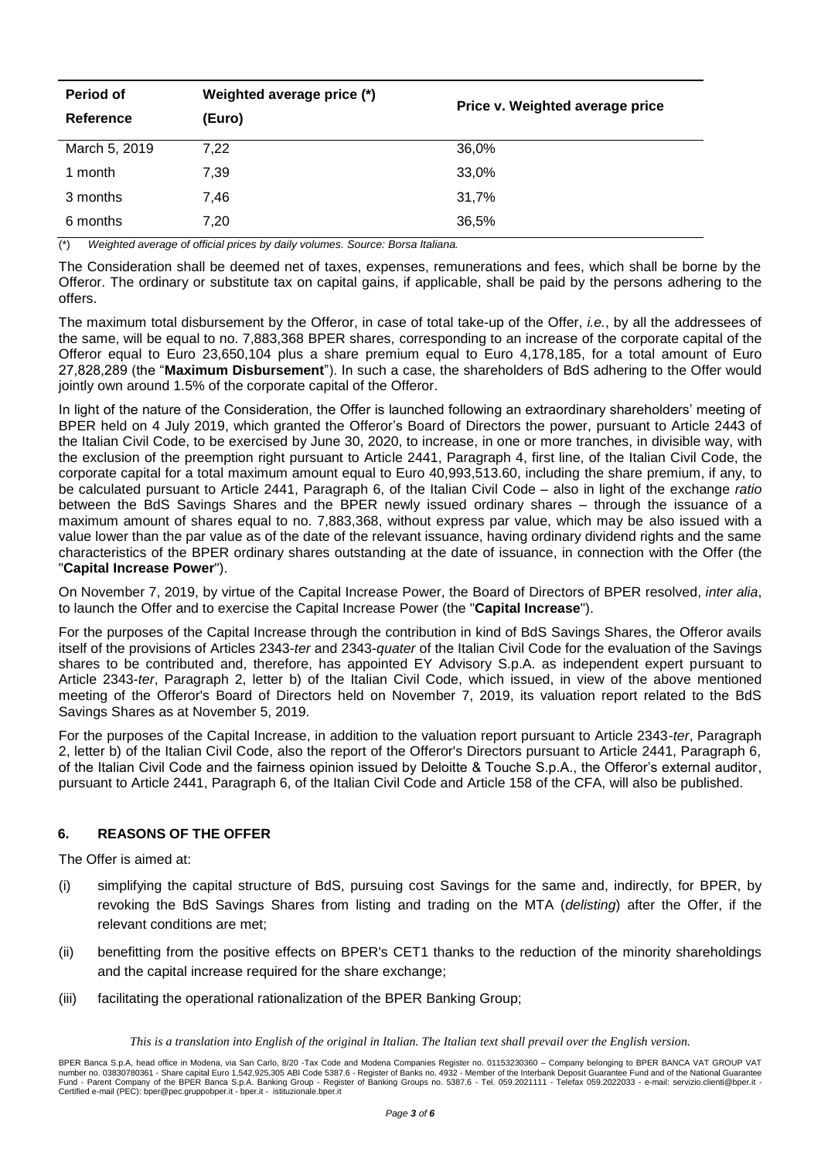| Period of<br><b>Reference</b> | Weighted average price (*)<br>(Euro) | Price v. Weighted average price |
|-------------------------------|--------------------------------------|---------------------------------|
| March 5, 2019                 | 7,22                                 | 36,0%                           |
| 1 month                       | 7,39                                 | 33,0%                           |
| 3 months                      | 7,46                                 | 31,7%                           |
| 6 months                      | 7.20                                 | 36,5%                           |

(\*) *Weighted average of official prices by daily volumes. Source: Borsa Italiana.*

The Consideration shall be deemed net of taxes, expenses, remunerations and fees, which shall be borne by the Offeror. The ordinary or substitute tax on capital gains, if applicable, shall be paid by the persons adhering to the offers.

The maximum total disbursement by the Offeror, in case of total take-up of the Offer, *i.e.*, by all the addressees of the same, will be equal to no. 7,883,368 BPER shares, corresponding to an increase of the corporate capital of the Offeror equal to Euro 23,650,104 plus a share premium equal to Euro 4,178,185, for a total amount of Euro 27,828,289 (the "**Maximum Disbursement**"). In such a case, the shareholders of BdS adhering to the Offer would jointly own around 1.5% of the corporate capital of the Offeror.

In light of the nature of the Consideration, the Offer is launched following an extraordinary shareholders' meeting of BPER held on 4 July 2019, which granted the Offeror's Board of Directors the power, pursuant to Article 2443 of the Italian Civil Code, to be exercised by June 30, 2020, to increase, in one or more tranches, in divisible way, with the exclusion of the preemption right pursuant to Article 2441, Paragraph 4, first line, of the Italian Civil Code, the corporate capital for a total maximum amount equal to Euro 40,993,513.60, including the share premium, if any, to be calculated pursuant to Article 2441, Paragraph 6, of the Italian Civil Code – also in light of the exchange *ratio* between the BdS Savings Shares and the BPER newly issued ordinary shares – through the issuance of a maximum amount of shares equal to no. 7,883,368, without express par value, which may be also issued with a value lower than the par value as of the date of the relevant issuance, having ordinary dividend rights and the same characteristics of the BPER ordinary shares outstanding at the date of issuance, in connection with the Offer (the "**Capital Increase Power**").

On November 7, 2019, by virtue of the Capital Increase Power, the Board of Directors of BPER resolved, *inter alia*, to launch the Offer and to exercise the Capital Increase Power (the "**Capital Increase**").

For the purposes of the Capital Increase through the contribution in kind of BdS Savings Shares, the Offeror avails itself of the provisions of Articles 2343-*ter* and 2343-*quater* of the Italian Civil Code for the evaluation of the Savings shares to be contributed and, therefore, has appointed EY Advisory S.p.A. as independent expert pursuant to Article 2343-*ter*, Paragraph 2, letter b) of the Italian Civil Code, which issued, in view of the above mentioned meeting of the Offeror's Board of Directors held on November 7, 2019, its valuation report related to the BdS Savings Shares as at November 5, 2019.

For the purposes of the Capital Increase, in addition to the valuation report pursuant to Article 2343-*ter*, Paragraph 2, letter b) of the Italian Civil Code, also the report of the Offeror's Directors pursuant to Article 2441, Paragraph 6, of the Italian Civil Code and the fairness opinion issued by Deloitte & Touche S.p.A., the Offeror's external auditor, pursuant to Article 2441, Paragraph 6, of the Italian Civil Code and Article 158 of the CFA, will also be published.

# **6. REASONS OF THE OFFER**

The Offer is aimed at:

- (i) simplifying the capital structure of BdS, pursuing cost Savings for the same and, indirectly, for BPER, by revoking the BdS Savings Shares from listing and trading on the MTA (*delisting*) after the Offer, if the relevant conditions are met;
- (ii) benefitting from the positive effects on BPER's CET1 thanks to the reduction of the minority shareholdings and the capital increase required for the share exchange;
- (iii) facilitating the operational rationalization of the BPER Banking Group;

*This is a translation into English of the original in Italian. The Italian text shall prevail over the English version.*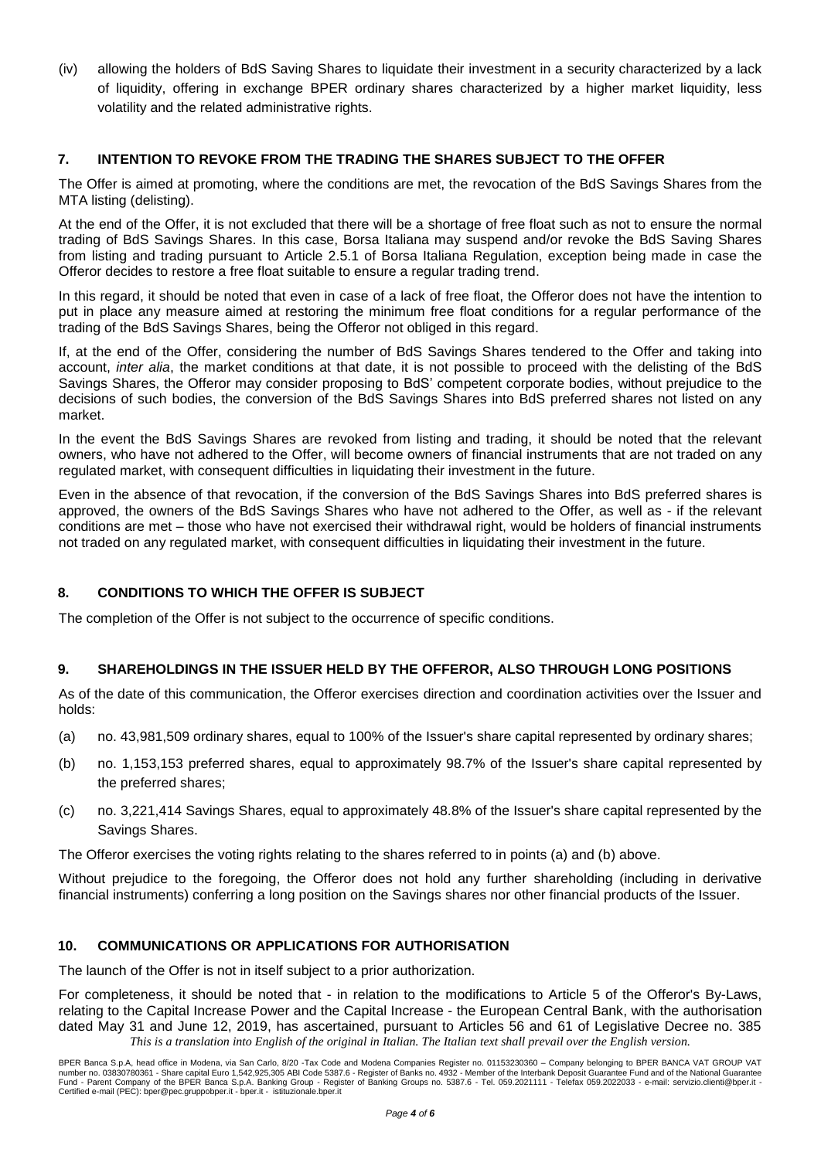(iv) allowing the holders of BdS Saving Shares to liquidate their investment in a security characterized by a lack of liquidity, offering in exchange BPER ordinary shares characterized by a higher market liquidity, less volatility and the related administrative rights.

# **7. INTENTION TO REVOKE FROM THE TRADING THE SHARES SUBJECT TO THE OFFER**

The Offer is aimed at promoting, where the conditions are met, the revocation of the BdS Savings Shares from the MTA listing (delisting).

At the end of the Offer, it is not excluded that there will be a shortage of free float such as not to ensure the normal trading of BdS Savings Shares. In this case, Borsa Italiana may suspend and/or revoke the BdS Saving Shares from listing and trading pursuant to Article 2.5.1 of Borsa Italiana Regulation, exception being made in case the Offeror decides to restore a free float suitable to ensure a regular trading trend.

In this regard, it should be noted that even in case of a lack of free float, the Offeror does not have the intention to put in place any measure aimed at restoring the minimum free float conditions for a regular performance of the trading of the BdS Savings Shares, being the Offeror not obliged in this regard.

If, at the end of the Offer, considering the number of BdS Savings Shares tendered to the Offer and taking into account, *inter alia*, the market conditions at that date, it is not possible to proceed with the delisting of the BdS Savings Shares, the Offeror may consider proposing to BdS' competent corporate bodies, without prejudice to the decisions of such bodies, the conversion of the BdS Savings Shares into BdS preferred shares not listed on any market.

In the event the BdS Savings Shares are revoked from listing and trading, it should be noted that the relevant owners, who have not adhered to the Offer, will become owners of financial instruments that are not traded on any regulated market, with consequent difficulties in liquidating their investment in the future.

Even in the absence of that revocation, if the conversion of the BdS Savings Shares into BdS preferred shares is approved, the owners of the BdS Savings Shares who have not adhered to the Offer, as well as - if the relevant conditions are met – those who have not exercised their withdrawal right, would be holders of financial instruments not traded on any regulated market, with consequent difficulties in liquidating their investment in the future.

# **8. CONDITIONS TO WHICH THE OFFER IS SUBJECT**

The completion of the Offer is not subject to the occurrence of specific conditions.

# **9. SHAREHOLDINGS IN THE ISSUER HELD BY THE OFFEROR, ALSO THROUGH LONG POSITIONS**

As of the date of this communication, the Offeror exercises direction and coordination activities over the Issuer and holds:

- (a) no. 43,981,509 ordinary shares, equal to 100% of the Issuer's share capital represented by ordinary shares;
- (b) no. 1,153,153 preferred shares, equal to approximately 98.7% of the Issuer's share capital represented by the preferred shares;
- (c) no. 3,221,414 Savings Shares, equal to approximately 48.8% of the Issuer's share capital represented by the Savings Shares.

The Offeror exercises the voting rights relating to the shares referred to in points (a) and (b) above.

Without prejudice to the foregoing, the Offeror does not hold any further shareholding (including in derivative financial instruments) conferring a long position on the Savings shares nor other financial products of the Issuer.

# **10. COMMUNICATIONS OR APPLICATIONS FOR AUTHORISATION**

The launch of the Offer is not in itself subject to a prior authorization.

*This is a translation into English of the original in Italian. The Italian text shall prevail over the English version.* For completeness, it should be noted that - in relation to the modifications to Article 5 of the Offeror's By-Laws, relating to the Capital Increase Power and the Capital Increase - the European Central Bank, with the authorisation dated May 31 and June 12, 2019, has ascertained, pursuant to Articles 56 and 61 of Legislative Decree no. 385

BPER Banca S.p.A, head office in Modena, via San Carlo, 8/20 -Tax Code and Modena Companies Register no. 01153230360 – Company belonging to BPER BANCA VAT GROUP VAT<br>number no. 03830780361 - Share capital Euro 1,542,925,305 Certified e-mail (PEC): bper@pec.gruppobper.it - bper.it - istituzionale.bper.it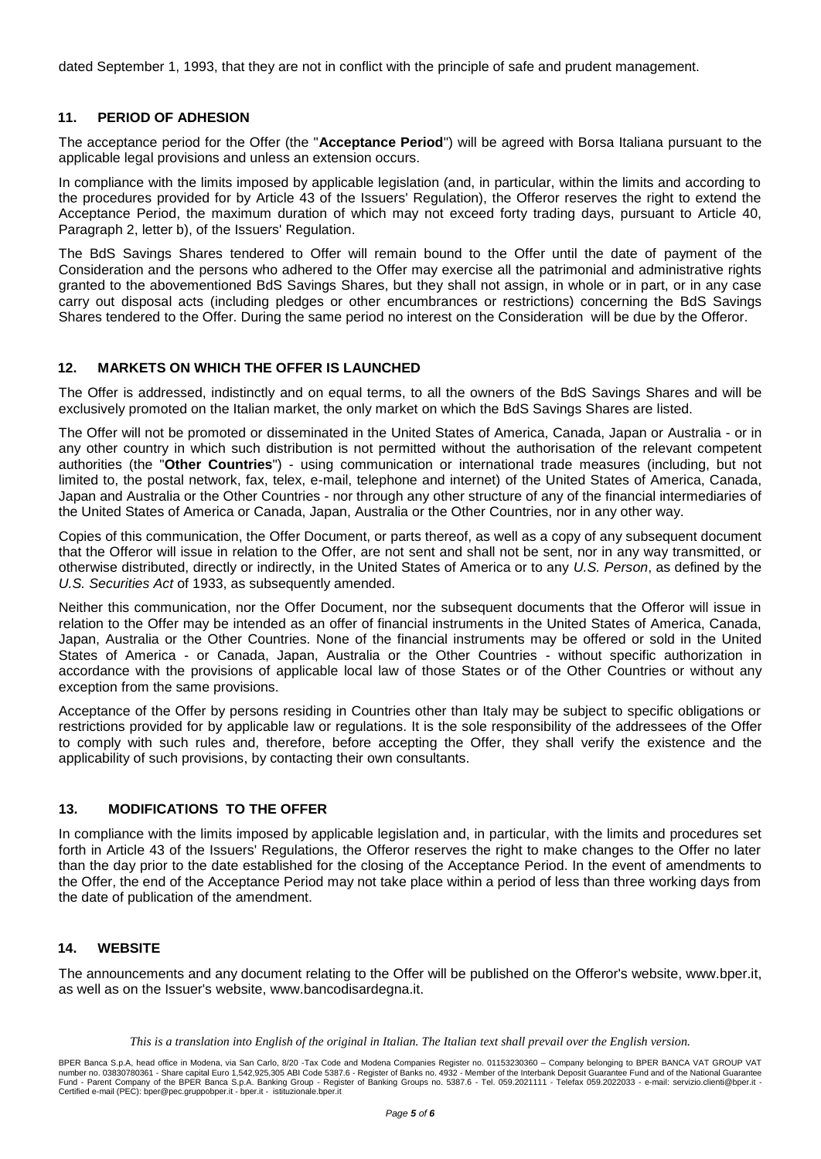dated September 1, 1993, that they are not in conflict with the principle of safe and prudent management.

# **11. PERIOD OF ADHESION**

The acceptance period for the Offer (the "**Acceptance Period**") will be agreed with Borsa Italiana pursuant to the applicable legal provisions and unless an extension occurs.

In compliance with the limits imposed by applicable legislation (and, in particular, within the limits and according to the procedures provided for by Article 43 of the Issuers' Regulation), the Offeror reserves the right to extend the Acceptance Period, the maximum duration of which may not exceed forty trading days, pursuant to Article 40, Paragraph 2, letter b), of the Issuers' Regulation.

The BdS Savings Shares tendered to Offer will remain bound to the Offer until the date of payment of the Consideration and the persons who adhered to the Offer may exercise all the patrimonial and administrative rights granted to the abovementioned BdS Savings Shares, but they shall not assign, in whole or in part, or in any case carry out disposal acts (including pledges or other encumbrances or restrictions) concerning the BdS Savings Shares tendered to the Offer. During the same period no interest on the Consideration will be due by the Offeror.

#### **12. MARKETS ON WHICH THE OFFER IS LAUNCHED**

The Offer is addressed, indistinctly and on equal terms, to all the owners of the BdS Savings Shares and will be exclusively promoted on the Italian market, the only market on which the BdS Savings Shares are listed.

The Offer will not be promoted or disseminated in the United States of America, Canada, Japan or Australia - or in any other country in which such distribution is not permitted without the authorisation of the relevant competent authorities (the "**Other Countries**") - using communication or international trade measures (including, but not limited to, the postal network, fax, telex, e-mail, telephone and internet) of the United States of America, Canada, Japan and Australia or the Other Countries - nor through any other structure of any of the financial intermediaries of the United States of America or Canada, Japan, Australia or the Other Countries, nor in any other way.

Copies of this communication, the Offer Document, or parts thereof, as well as a copy of any subsequent document that the Offeror will issue in relation to the Offer, are not sent and shall not be sent, nor in any way transmitted, or otherwise distributed, directly or indirectly, in the United States of America or to any *U.S. Person*, as defined by the *U.S. Securities Act* of 1933, as subsequently amended.

Neither this communication, nor the Offer Document, nor the subsequent documents that the Offeror will issue in relation to the Offer may be intended as an offer of financial instruments in the United States of America, Canada, Japan, Australia or the Other Countries. None of the financial instruments may be offered or sold in the United States of America - or Canada, Japan, Australia or the Other Countries - without specific authorization in accordance with the provisions of applicable local law of those States or of the Other Countries or without any exception from the same provisions.

Acceptance of the Offer by persons residing in Countries other than Italy may be subject to specific obligations or restrictions provided for by applicable law or regulations. It is the sole responsibility of the addressees of the Offer to comply with such rules and, therefore, before accepting the Offer, they shall verify the existence and the applicability of such provisions, by contacting their own consultants.

# **13. MODIFICATIONS TO THE OFFER**

In compliance with the limits imposed by applicable legislation and, in particular, with the limits and procedures set forth in Article 43 of the Issuers' Regulations, the Offeror reserves the right to make changes to the Offer no later than the day prior to the date established for the closing of the Acceptance Period. In the event of amendments to the Offer, the end of the Acceptance Period may not take place within a period of less than three working days from the date of publication of the amendment.

#### **14. WEBSITE**

The announcements and any document relating to the Offer will be published on the Offeror's website, www.bper.it, as well as on the Issuer's website, www.bancodisardegna.it.

*This is a translation into English of the original in Italian. The Italian text shall prevail over the English version.*

BPER Banca S.p.A, head office in Modena, via San Carlo, 8/20 -Tax Code and Modena Companies Register no. 01153230360 – Company belonging to BPER BANCA VAT GROUP VAT<br>number no. 03830780361 - Share capital Euro 1,542,925,305 Certified e-mail (PEC): bper@pec.gruppobper.it - bper.it - istituzionale.bper.it